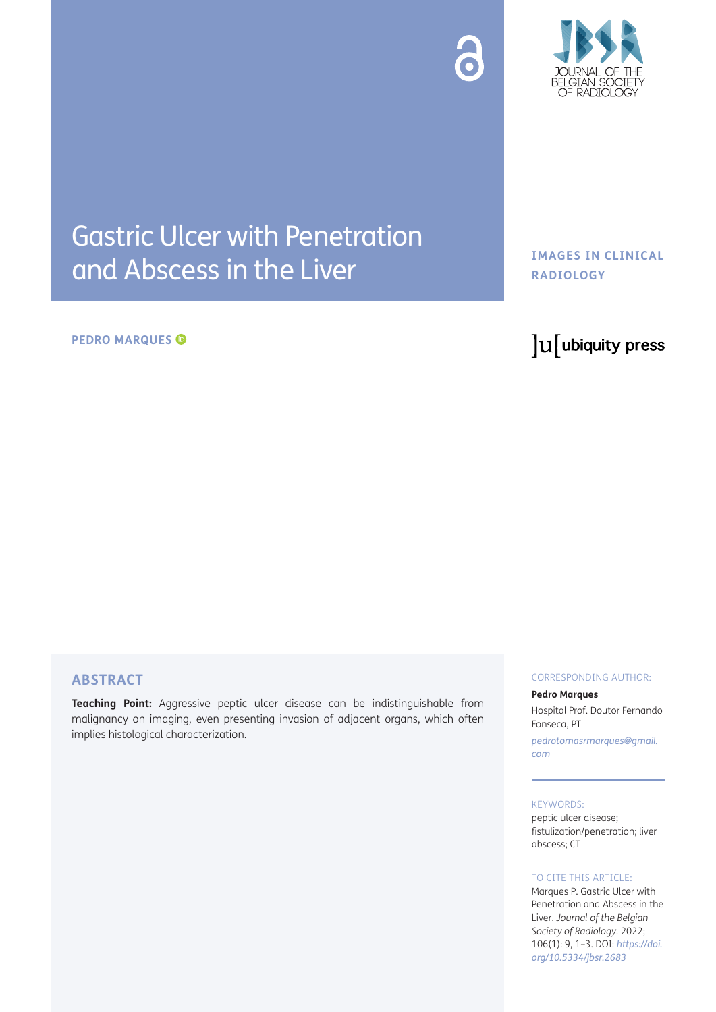



# Gastric Ulcer with Penetration and Abscess in the Liver

#### **PEDRO MARQUES**

# **IMAGES IN CLINICAL RADIOLOGY**

# lu ubiquity press

# **ABSTRACT**

**Teaching Point:** Aggressive peptic ulcer disease can be indistinguishable from malignancy on imaging, even presenting invasion of adjacent organs, which often implies histological characterization.

#### CORRESPONDING AUTHOR:

#### **Pedro Marques**

Hospital Prof. Doutor Fernando Fonseca, PT

*[pedrotomasrmarques@gmail.](mailto:pedrotomasrmarques@gmail.com) [com](mailto:pedrotomasrmarques@gmail.com)*

#### KEYWORDS:

peptic ulcer disease; fistulization/penetration; liver abscess; CT

#### TO CITE THIS ARTICLE:

Marques P. Gastric Ulcer with Penetration and Abscess in the Liver. *Journal of the Belgian Society of Radiology.* 2022; 106(1): 9, 1–3. DOI: *[https://doi.](https://doi.org/10.5334/jbsr.2683) [org/10.5334/jbsr.2683](https://doi.org/10.5334/jbsr.2683)*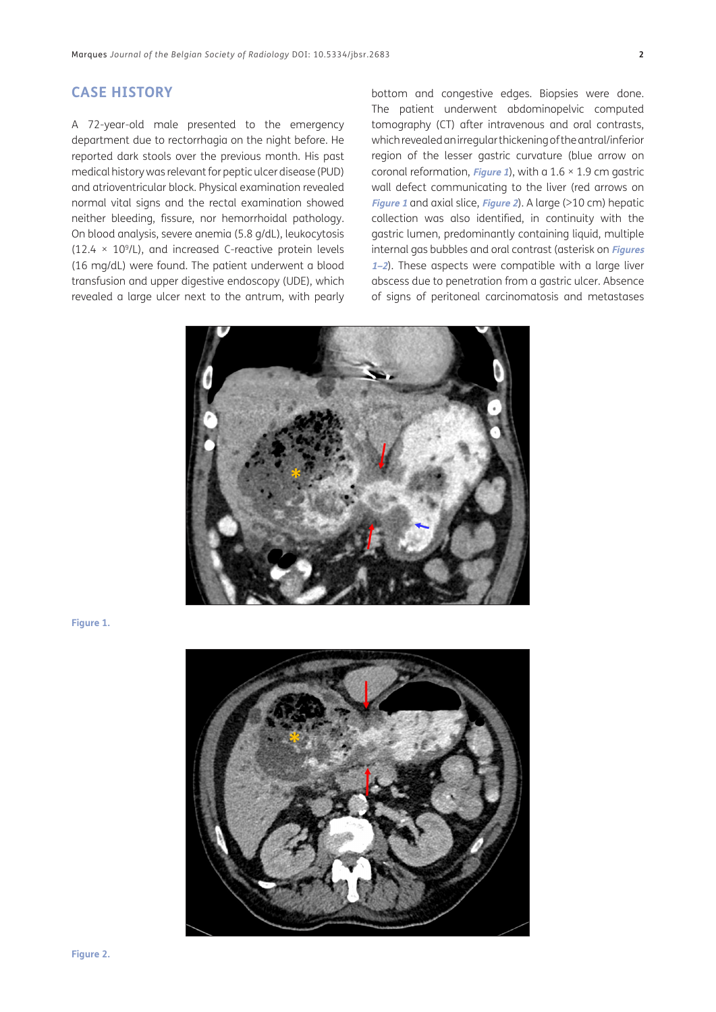#### **CASE HISTORY**

A 72-year-old male presented to the emergency department due to rectorrhagia on the night before. He reported dark stools over the previous month. His past medical history was relevant for peptic ulcer disease (PUD) and atrioventricular block. Physical examination revealed normal vital signs and the rectal examination showed neither bleeding, fissure, nor hemorrhoidal pathology. On blood analysis, severe anemia (5.8 g/dL), leukocytosis  $(12.4 \times 10^9$ /L), and increased C-reactive protein levels (16 mg/dL) were found. The patient underwent a blood transfusion and upper digestive endoscopy (UDE), which revealed a large ulcer next to the antrum, with pearly bottom and congestive edges. Biopsies were done. The patient underwent abdominopelvic computed tomography (CT) after intravenous and oral contrasts, which revealed an irregular thickening of the antral/inferior region of the lesser gastric curvature (blue arrow on coronal reformation, **[Figure 1](#page-1-0)**), with a 1.6 × 1.9 cm gastric wall defect communicating to the liver (red arrows on **[Figure 1](#page-1-0)** and axial slice, **[Figure 2](#page-1-1)**). A large (>10 cm) hepatic collection was also identified, in continuity with the gastric lumen, predominantly containing liquid, multiple internal gas bubbles and oral contrast (asterisk on **[Figures](#page-1-0)  [1](#page-1-0)[–2](#page-1-1)**). These aspects were compatible with a large liver abscess due to penetration from a gastric ulcer. Absence of signs of peritoneal carcinomatosis and metastases



<span id="page-1-0"></span>**Figure 1.**

<span id="page-1-1"></span>